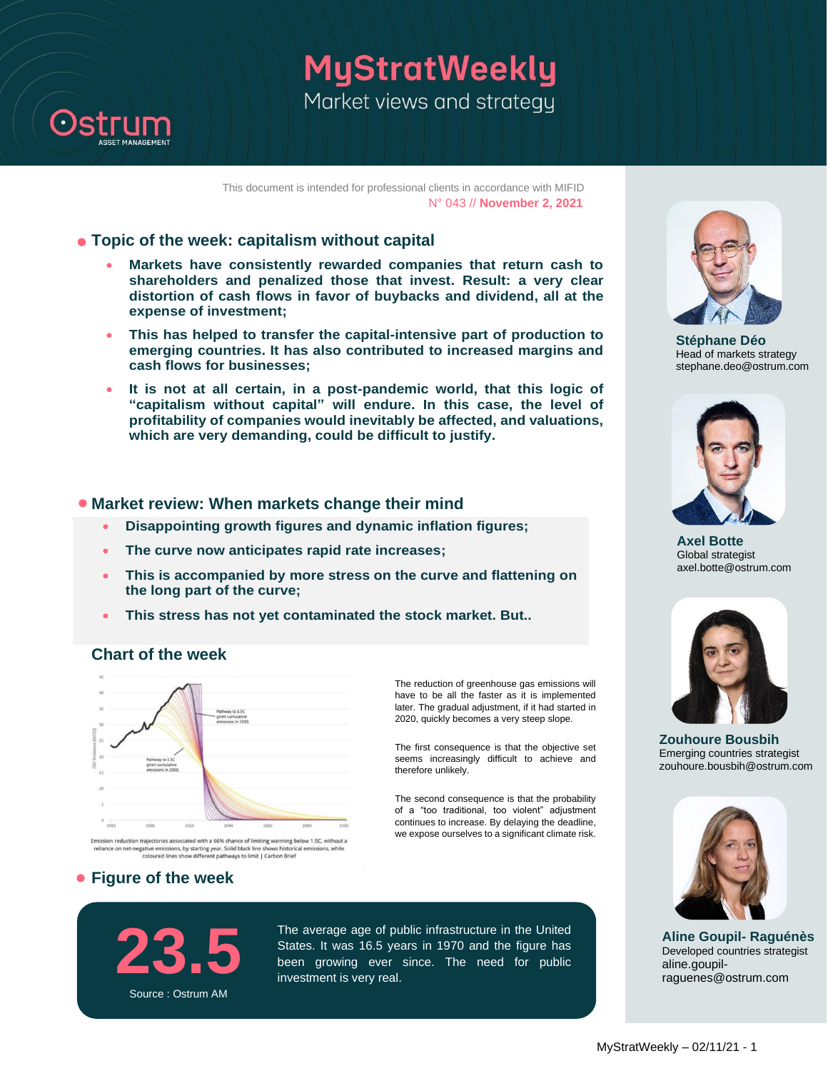

# MyStratWeekly Market views and strategy

This document is intended for professional clients in accordance with MIFID N° 043 // **November 2, 2021**

#### **Topic of the week: capitalism without capital**

- **Markets have consistently rewarded companies that return cash to shareholders and penalized those that invest. Result: a very clear distortion of cash flows in favor of buybacks and dividend, all at the expense of investment;**
- **This has helped to transfer the capital-intensive part of production to emerging countries. It has also contributed to increased margins and cash flows for businesses;**
- **It is not at all certain, in a post-pandemic world, that this logic of "capitalism without capital" will endure. In this case, the level of profitability of companies would inevitably be affected, and valuations, which are very demanding, could be difficult to justify.**

#### **• Market review: When markets change their mind**

- **Disappointing growth figures and dynamic inflation figures;**
- **The curve now anticipates rapid rate increases;**
- **This is accompanied by more stress on the curve and flattening on the long part of the curve;**
- **This stress has not yet contaminated the stock market. But..**

### **Chart of the week**



eliance on net-negative emissions, by starting year. Solid black line shows historical<br>coloured lines show different pathways to limit | Carbon Brief prical emissions, while

### **Figure of the week**

The reduction of greenhouse gas emissions will have to be all the faster as it is implemented later. The gradual adjustment, if it had started in 2020, quickly becomes a very steep slope.

The first consequence is that the objective set seems increasingly difficult to achieve and therefore unlikely.

The second consequence is that the probability of a "too traditional, too violent" adjustment continues to increase. By delaying the deadline, we expose ourselves to a significant climate risk.





**Axel Botte** Global strategist axel.botte@ostrum.com



**Zouhoure Bousbih** Emerging countries strategist zouhoure.bousbih@ostrum.com



**Aline Goupil- Raguénès** Developed countries strategist aline.goupilraguenes@ostrum.com

**23.5** Source : Ostrum AM

The average age of public infrastructure in the United States. It was 16.5 years in 1970 and the figure has been growing ever since. The need for public investment is very real.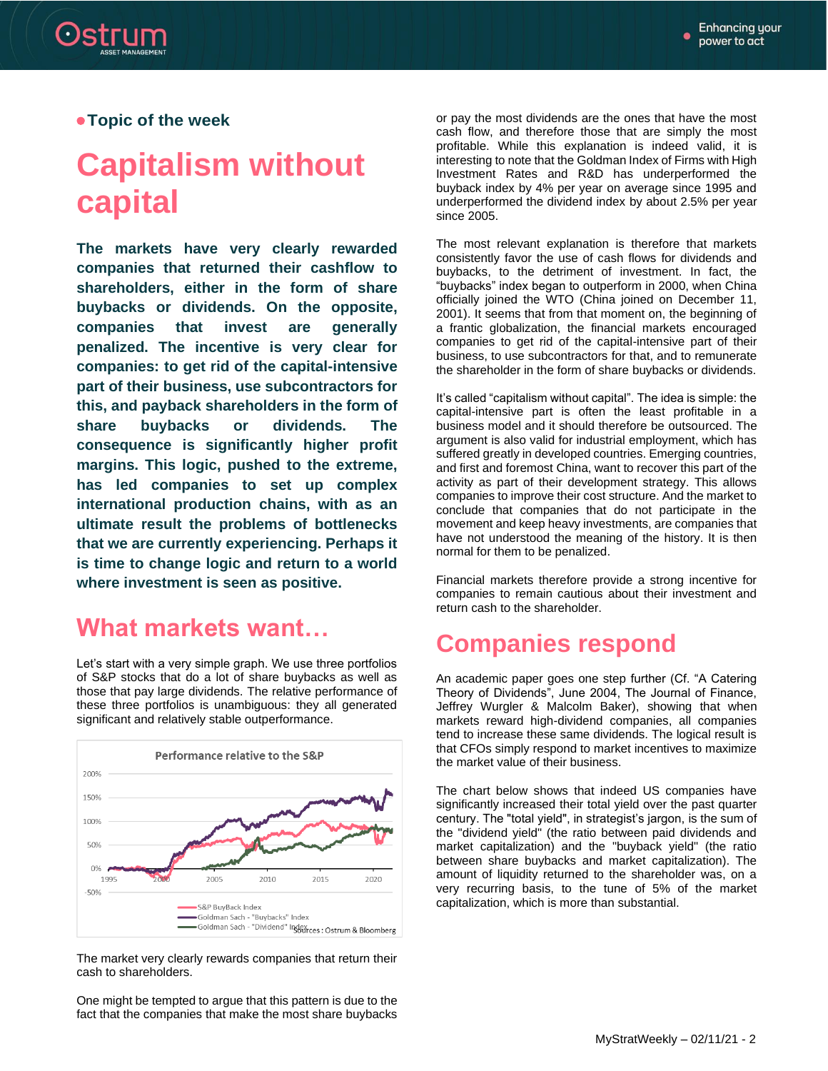**Topic of the week**

# **Capitalism without capital**

**The markets have very clearly rewarded companies that returned their cashflow to shareholders, either in the form of share buybacks or dividends. On the opposite, companies that invest are generally penalized. The incentive is very clear for companies: to get rid of the capital-intensive part of their business, use subcontractors for this, and payback shareholders in the form of share buybacks or dividends. The consequence is significantly higher profit margins. This logic, pushed to the extreme, has led companies to set up complex international production chains, with as an ultimate result the problems of bottlenecks that we are currently experiencing. Perhaps it is time to change logic and return to a world where investment is seen as positive.**

### **What markets want…**

Let's start with a very simple graph. We use three portfolios of S&P stocks that do a lot of share buybacks as well as those that pay large dividends. The relative performance of these three portfolios is unambiguous: they all generated significant and relatively stable outperformance.



The market very clearly rewards companies that return their cash to shareholders.

One might be tempted to argue that this pattern is due to the fact that the companies that make the most share buybacks

or pay the most dividends are the ones that have the most cash flow, and therefore those that are simply the most profitable. While this explanation is indeed valid, it is interesting to note that the Goldman Index of Firms with High Investment Rates and R&D has underperformed the buyback index by 4% per year on average since 1995 and underperformed the dividend index by about 2.5% per year since 2005.

The most relevant explanation is therefore that markets consistently favor the use of cash flows for dividends and buybacks, to the detriment of investment. In fact, the "buybacks" index began to outperform in 2000, when China officially joined the WTO (China joined on December 11, 2001). It seems that from that moment on, the beginning of a frantic globalization, the financial markets encouraged companies to get rid of the capital-intensive part of their business, to use subcontractors for that, and to remunerate the shareholder in the form of share buybacks or dividends.

It's called "capitalism without capital". The idea is simple: the capital-intensive part is often the least profitable in a business model and it should therefore be outsourced. The argument is also valid for industrial employment, which has suffered greatly in developed countries. Emerging countries, and first and foremost China, want to recover this part of the activity as part of their development strategy. This allows companies to improve their cost structure. And the market to conclude that companies that do not participate in the movement and keep heavy investments, are companies that have not understood the meaning of the history. It is then normal for them to be penalized.

Financial markets therefore provide a strong incentive for companies to remain cautious about their investment and return cash to the shareholder.

### **Companies respond**

An academic paper goes one step further (Cf. "A Catering Theory of Dividends", June 2004, The Journal of Finance, Jeffrey Wurgler & Malcolm Baker), showing that when markets reward high-dividend companies, all companies tend to increase these same dividends. The logical result is that CFOs simply respond to market incentives to maximize the market value of their business.

The chart below shows that indeed US companies have significantly increased their total yield over the past quarter century. The "total yield", in strategist's jargon, is the sum of the "dividend yield" (the ratio between paid dividends and market capitalization) and the "buyback yield" (the ratio between share buybacks and market capitalization). The amount of liquidity returned to the shareholder was, on a very recurring basis, to the tune of 5% of the market capitalization, which is more than substantial.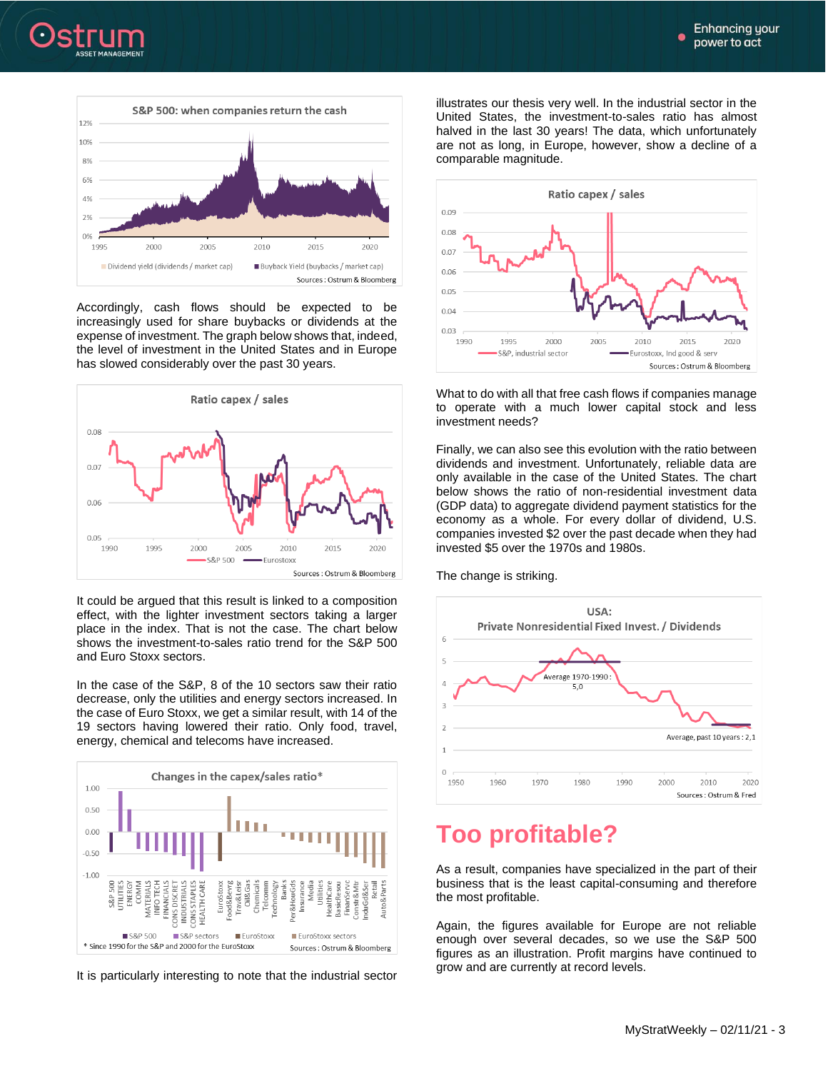



Accordingly, cash flows should be expected to be increasingly used for share buybacks or dividends at the expense of investment. The graph below shows that, indeed, the level of investment in the United States and in Europe has slowed considerably over the past 30 years.



It could be argued that this result is linked to a composition effect, with the lighter investment sectors taking a larger place in the index. That is not the case. The chart below shows the investment-to-sales ratio trend for the S&P 500 and Euro Stoxx sectors.

In the case of the S&P, 8 of the 10 sectors saw their ratio decrease, only the utilities and energy sectors increased. In the case of Euro Stoxx, we get a similar result, with 14 of the 19 sectors having lowered their ratio. Only food, travel, energy, chemical and telecoms have increased.



It is particularly interesting to note that the industrial sector

illustrates our thesis very well. In the industrial sector in the United States, the investment-to-sales ratio has almost halved in the last 30 years! The data, which unfortunately are not as long, in Europe, however, show a decline of a comparable magnitude.



What to do with all that free cash flows if companies manage to operate with a much lower capital stock and less investment needs?

Finally, we can also see this evolution with the ratio between dividends and investment. Unfortunately, reliable data are only available in the case of the United States. The chart below shows the ratio of non-residential investment data (GDP data) to aggregate dividend payment statistics for the economy as a whole. For every dollar of dividend, U.S. companies invested \$2 over the past decade when they had invested \$5 over the 1970s and 1980s.

The change is striking.



### **Too profitable?**

As a result, companies have specialized in the part of their business that is the least capital-consuming and therefore the most profitable.

Again, the figures available for Europe are not reliable enough over several decades, so we use the S&P 500 figures as an illustration. Profit margins have continued to grow and are currently at record levels.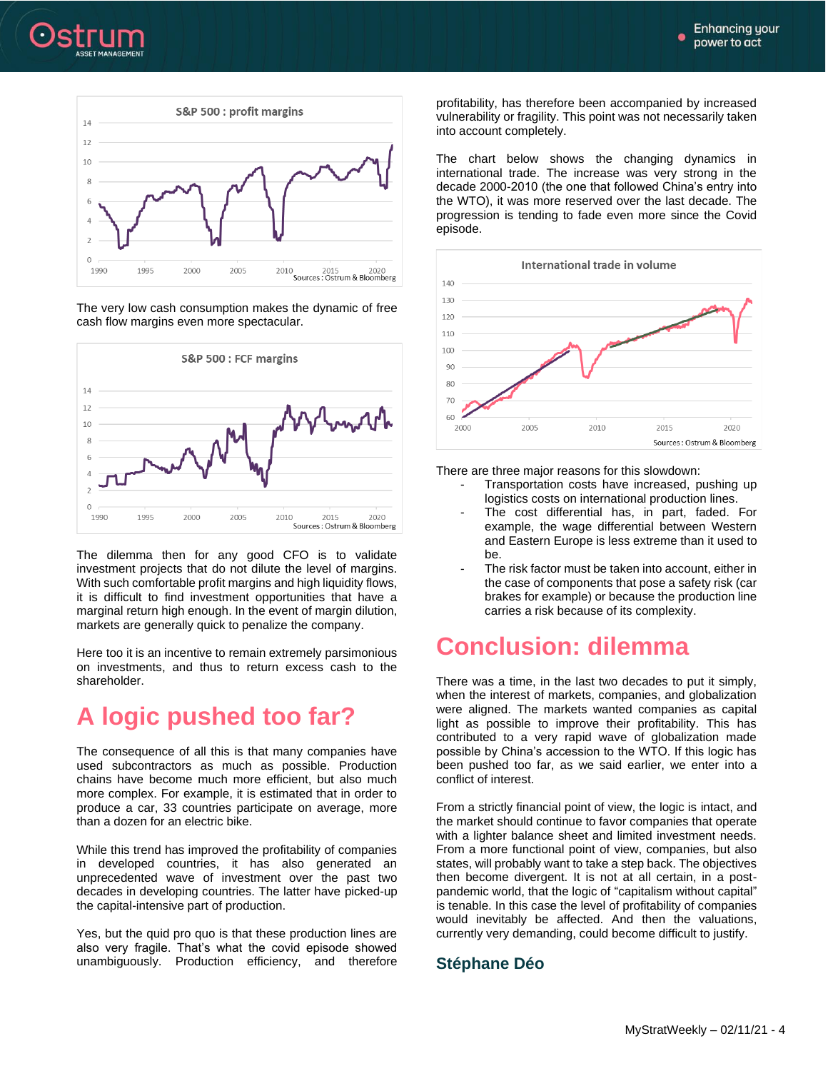



The very low cash consumption makes the dynamic of free cash flow margins even more spectacular.



The dilemma then for any good CFO is to validate investment projects that do not dilute the level of margins. With such comfortable profit margins and high liquidity flows, it is difficult to find investment opportunities that have a marginal return high enough. In the event of margin dilution, markets are generally quick to penalize the company.

Here too it is an incentive to remain extremely parsimonious on investments, and thus to return excess cash to the shareholder.

# **A logic pushed too far?**

The consequence of all this is that many companies have used subcontractors as much as possible. Production chains have become much more efficient, but also much more complex. For example, it is estimated that in order to produce a car, 33 countries participate on average, more than a dozen for an electric bike.

While this trend has improved the profitability of companies in developed countries, it has also generated an unprecedented wave of investment over the past two decades in developing countries. The latter have picked-up the capital-intensive part of production.

Yes, but the quid pro quo is that these production lines are also very fragile. That's what the covid episode showed unambiguously. Production efficiency, and therefore profitability, has therefore been accompanied by increased vulnerability or fragility. This point was not necessarily taken into account completely.

The chart below shows the changing dynamics in international trade. The increase was very strong in the decade 2000-2010 (the one that followed China's entry into the WTO), it was more reserved over the last decade. The progression is tending to fade even more since the Covid episode.



There are three major reasons for this slowdown:

- Transportation costs have increased, pushing up logistics costs on international production lines.
- The cost differential has, in part, faded. For example, the wage differential between Western and Eastern Europe is less extreme than it used to be.
- The risk factor must be taken into account, either in the case of components that pose a safety risk (car brakes for example) or because the production line carries a risk because of its complexity.

### **Conclusion: dilemma**

There was a time, in the last two decades to put it simply, when the interest of markets, companies, and globalization were aligned. The markets wanted companies as capital light as possible to improve their profitability. This has contributed to a very rapid wave of globalization made possible by China's accession to the WTO. If this logic has been pushed too far, as we said earlier, we enter into a conflict of interest.

From a strictly financial point of view, the logic is intact, and the market should continue to favor companies that operate with a lighter balance sheet and limited investment needs. From a more functional point of view, companies, but also states, will probably want to take a step back. The objectives then become divergent. It is not at all certain, in a postpandemic world, that the logic of "capitalism without capital" is tenable. In this case the level of profitability of companies would inevitably be affected. And then the valuations, currently very demanding, could become difficult to justify.

### **Stéphane Déo**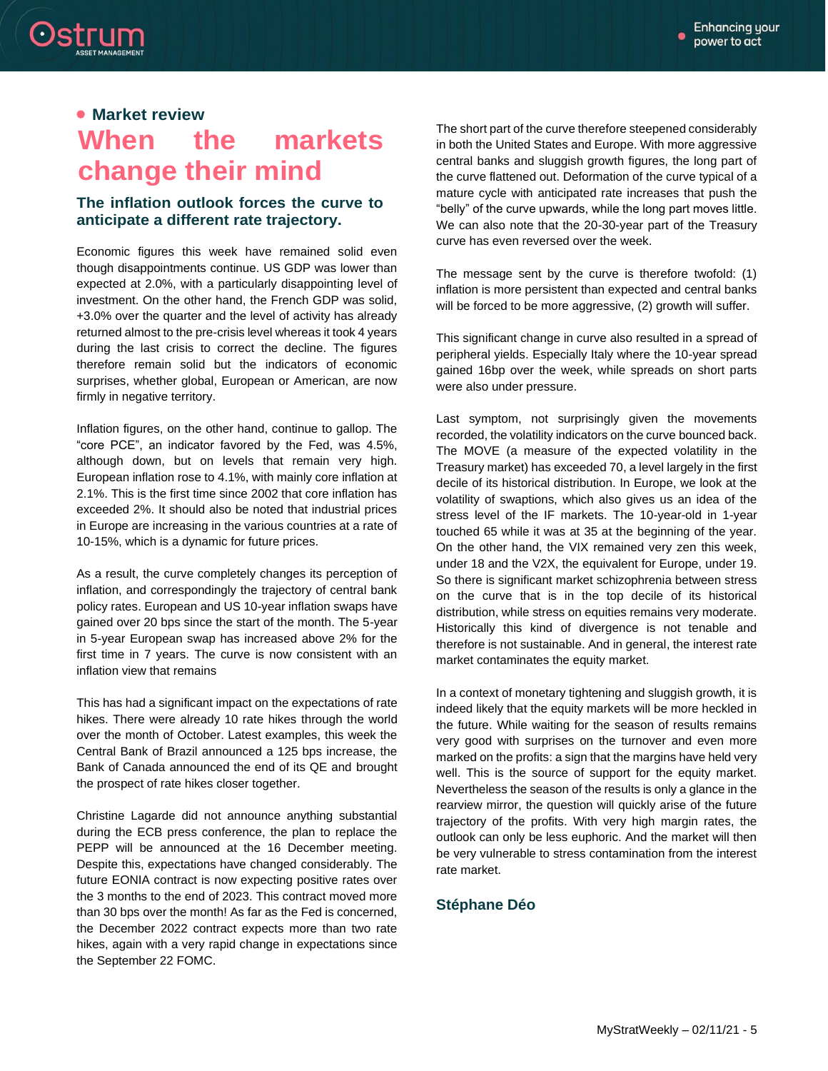

### **Market review**

# **When the markets change their mind**

#### **The inflation outlook forces the curve to anticipate a different rate trajectory.**

Economic figures this week have remained solid even though disappointments continue. US GDP was lower than expected at 2.0%, with a particularly disappointing level of investment. On the other hand, the French GDP was solid, +3.0% over the quarter and the level of activity has already returned almost to the pre-crisis level whereas it took 4 years during the last crisis to correct the decline. The figures therefore remain solid but the indicators of economic surprises, whether global, European or American, are now firmly in negative territory.

Inflation figures, on the other hand, continue to gallop. The "core PCE", an indicator favored by the Fed, was 4.5%, although down, but on levels that remain very high. European inflation rose to 4.1%, with mainly core inflation at 2.1%. This is the first time since 2002 that core inflation has exceeded 2%. It should also be noted that industrial prices in Europe are increasing in the various countries at a rate of 10-15%, which is a dynamic for future prices.

As a result, the curve completely changes its perception of inflation, and correspondingly the trajectory of central bank policy rates. European and US 10-year inflation swaps have gained over 20 bps since the start of the month. The 5-year in 5-year European swap has increased above 2% for the first time in 7 years. The curve is now consistent with an inflation view that remains

This has had a significant impact on the expectations of rate hikes. There were already 10 rate hikes through the world over the month of October. Latest examples, this week the Central Bank of Brazil announced a 125 bps increase, the Bank of Canada announced the end of its QE and brought the prospect of rate hikes closer together.

Christine Lagarde did not announce anything substantial during the ECB press conference, the plan to replace the PEPP will be announced at the 16 December meeting. Despite this, expectations have changed considerably. The future EONIA contract is now expecting positive rates over the 3 months to the end of 2023. This contract moved more than 30 bps over the month! As far as the Fed is concerned, the December 2022 contract expects more than two rate hikes, again with a very rapid change in expectations since the September 22 FOMC.

The short part of the curve therefore steepened considerably in both the United States and Europe. With more aggressive central banks and sluggish growth figures, the long part of the curve flattened out. Deformation of the curve typical of a mature cycle with anticipated rate increases that push the "belly" of the curve upwards, while the long part moves little. We can also note that the 20-30-year part of the Treasury curve has even reversed over the week.

The message sent by the curve is therefore twofold: (1) inflation is more persistent than expected and central banks will be forced to be more aggressive, (2) growth will suffer.

This significant change in curve also resulted in a spread of peripheral yields. Especially Italy where the 10-year spread gained 16bp over the week, while spreads on short parts were also under pressure.

Last symptom, not surprisingly given the movements recorded, the volatility indicators on the curve bounced back. The MOVE (a measure of the expected volatility in the Treasury market) has exceeded 70, a level largely in the first decile of its historical distribution. In Europe, we look at the volatility of swaptions, which also gives us an idea of the stress level of the IF markets. The 10-year-old in 1-year touched 65 while it was at 35 at the beginning of the year. On the other hand, the VIX remained very zen this week, under 18 and the V2X, the equivalent for Europe, under 19. So there is significant market schizophrenia between stress on the curve that is in the top decile of its historical distribution, while stress on equities remains very moderate. Historically this kind of divergence is not tenable and therefore is not sustainable. And in general, the interest rate market contaminates the equity market.

In a context of monetary tightening and sluggish growth, it is indeed likely that the equity markets will be more heckled in the future. While waiting for the season of results remains very good with surprises on the turnover and even more marked on the profits: a sign that the margins have held very well. This is the source of support for the equity market. Nevertheless the season of the results is only a glance in the rearview mirror, the question will quickly arise of the future trajectory of the profits. With very high margin rates, the outlook can only be less euphoric. And the market will then be very vulnerable to stress contamination from the interest rate market.

#### **Stéphane Déo**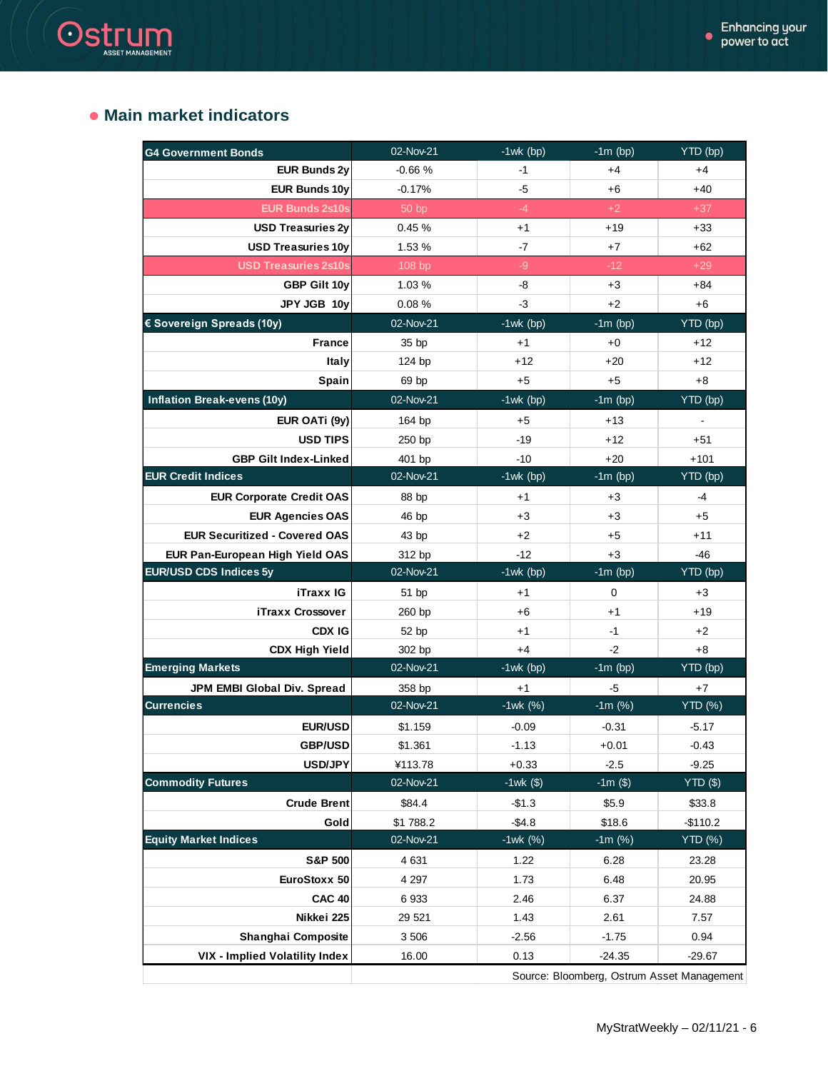### **Main market indicators**

Ostrum

| <b>G4 Government Bonds</b>            | 02-Nov-21 | $-1wk$ (bp)  | $-1m$ (bp) | YTD (bp)       |
|---------------------------------------|-----------|--------------|------------|----------------|
| <b>EUR Bunds 2v</b>                   | $-0.66%$  | $-1$         | $+4$       | $+4$           |
| <b>EUR Bunds 10y</b>                  | $-0.17%$  | $-5$         | $+6$       | $+40$          |
| <b>EUR Bunds 2s10s</b>                | 50 bp     | $-4$         | $+2$       | $+37$          |
| <b>USD Treasuries 2y</b>              | 0.45%     | $+1$         | $+19$      | $+33$          |
| <b>USD Treasuries 10y</b>             | 1.53 %    | $-7$         | $+7$       | $+62$          |
| <b>USD Treasuries 2s10s</b>           | 108 bp    | $-9$         | $-12$      | $+29$          |
| GBP Gilt 10y                          | 1.03 %    | -8           | $+3$       | $+84$          |
| JPY JGB 10y                           | 0.08%     | $-3$         | $+2$       | $+6$           |
| € Sovereign Spreads (10y)             | 02-Nov-21 | $-1$ wk(bp)  | $-1m$ (bp) | YTD (bp)       |
| <b>France</b>                         | 35 bp     | $+1$         | $+0$       | +12            |
| Italy                                 | 124 bp    | $+12$        | $+20$      | $+12$          |
| Spain                                 | 69 bp     | $+5$         | $+5$       | $+8$           |
| <b>Inflation Break-evens (10y)</b>    | 02-Nov-21 | $-1$ wk(bp)  | $-1m$ (bp) | YTD (bp)       |
| EUR OATi (9y)                         | 164 bp    | $+5$         | $+13$      |                |
| <b>USD TIPS</b>                       | 250 bp    | $-19$        | $+12$      | $+51$          |
| <b>GBP Gilt Index-Linked</b>          | 401 bp    | $-10$        | $+20$      | $+101$         |
| <b>EUR Credit Indices</b>             | 02-Nov-21 | $-1wk$ (bp)  | $-1m$ (bp) | YTD (bp)       |
| <b>EUR Corporate Credit OAS</b>       | 88 bp     | $+1$         | $+3$       | -4             |
| <b>EUR Agencies OAS</b>               | 46 bp     | $+3$         | $+3$       | $+5$           |
| <b>EUR Securitized - Covered OAS</b>  | 43 bp     | $+2$         | $+5$       | $+11$          |
| EUR Pan-European High Yield OAS       | 312 bp    | $-12$        | $+3$       | $-46$          |
|                                       |           |              |            |                |
| EUR/USD CDS Indices 5y                | 02-Nov-21 | $-1wk$ (bp)  | $-1m$ (bp) | YTD (bp)       |
| <b>iTraxx IG</b>                      | 51 bp     | $+1$         | 0          | $+3$           |
| iTraxx Crossover                      | 260 bp    | $+6$         | $+1$       | $+19$          |
| <b>CDX IG</b>                         | 52 bp     | $+1$         | $-1$       | $+2$           |
| <b>CDX High Yield</b>                 | 302 bp    | $+4$         | $-2$       | $+8$           |
| <b>Emerging Markets</b>               | 02-Nov-21 | $-1$ wk (bp) | $-1m$ (bp) | YTD (bp)       |
| JPM EMBI Global Div. Spread           | 358 bp    | $+1$         | $-5$       | $+7$           |
| <b>Currencies</b>                     | 02-Nov-21 | $-1wk (%)$   | $-1m$ (%)  | <b>YTD</b> (%) |
| EUR/USD                               | \$1.159   | $-0.09$      | $-0.31$    | $-5.17$        |
| <b>GBP/USD</b>                        | \$1.361   | $-1.13$      | $+0.01$    | $-0.43$        |
| USD/JPY                               | ¥113.78   | $+0.33$      | $-2.5$     | $-9.25$        |
| <b>Commodity Futures</b>              | 02-Nov-21 | $-1wk$ (\$)  | $-1m($)$   | $YTD$ $(\$)$   |
| <b>Crude Brent</b>                    | \$84.4    | $-$1.3$      | \$5.9      | \$33.8         |
| Gold                                  | \$1 788.2 | $-$4.8$      | \$18.6     | $-$110.2$      |
| <b>Equity Market Indices</b>          | 02-Nov-21 | $-1wk (%)$   | $-1m$ (%)  | <b>YTD</b> (%) |
| <b>S&amp;P 500</b>                    | 4 6 31    | 1.22         | 6.28       | 23.28          |
| EuroStoxx 50                          | 4 2 9 7   | 1.73         | 6.48       | 20.95          |
| <b>CAC 40</b>                         | 6933      | 2.46         | 6.37       | 24.88          |
| Nikkei 225                            | 29 5 21   | 1.43         | 2.61       | 7.57           |
| Shanghai Composite                    | 3 506     | $-2.56$      | $-1.75$    | 0.94           |
| <b>VIX - Implied Volatility Index</b> | 16.00     | 0.13         | $-24.35$   | $-29.67$       |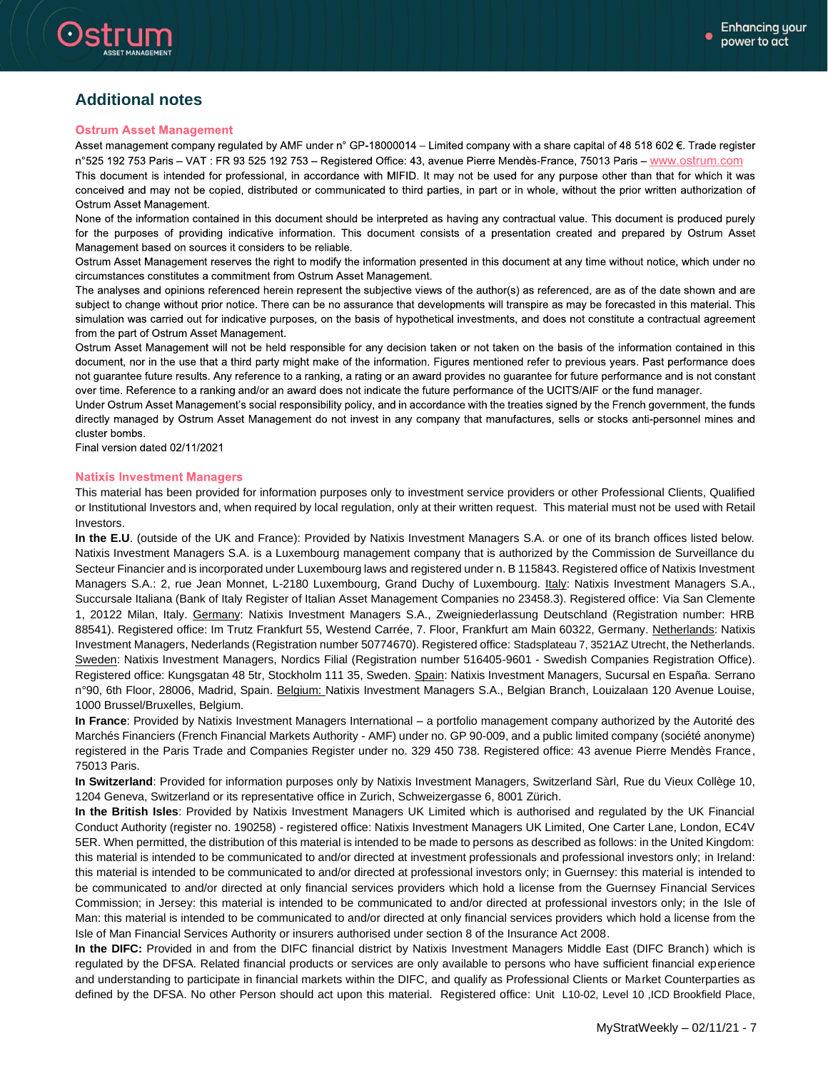

Ostrum

#### **Ostrum Asset Management**

Asset management company regulated by AMF under n° GP-18000014 – Limited company with a share capital of 48 518 602 €. Trade register n°525 192 753 Paris - VAT : FR 93 525 192 753 - Registered Office: 43, avenue Pierre Mendès-France, 75013 Paris - www.ostrum.com This document is intended for professional, in accordance with MIFID. It may not be used for any purpose other than that for which it was conceived and may not be copied, distributed or communicated to third parties, in part or in whole, without the prior written authorization of Ostrum Asset Management.

None of the information contained in this document should be interpreted as having any contractual value. This document is produced purely for the purposes of providing indicative information. This document consists of a presentation created and prepared by Ostrum Asset Management based on sources it considers to be reliable.

Ostrum Asset Management reserves the right to modify the information presented in this document at any time without notice, which under no circumstances constitutes a commitment from Ostrum Asset Management.

The analyses and opinions referenced herein represent the subjective views of the author(s) as referenced, are as of the date shown and are subject to change without prior notice. There can be no assurance that developments will transpire as may be forecasted in this material. This simulation was carried out for indicative purposes, on the basis of hypothetical investments, and does not constitute a contractual agreement from the part of Ostrum Asset Management.

Ostrum Asset Management will not be held responsible for any decision taken or not taken on the basis of the information contained in this document, nor in the use that a third party might make of the information. Figures mentioned refer to previous years. Past performance does not guarantee future results. Any reference to a ranking, a rating or an award provides no guarantee for future performance and is not constant over time. Reference to a ranking and/or an award does not indicate the future performance of the UCITS/AIF or the fund manager.

Under Ostrum Asset Management's social responsibility policy, and in accordance with the treaties signed by the French government, the funds directly managed by Ostrum Asset Management do not invest in any company that manufactures, sells or stocks anti-personnel mines and cluster bombs.

Final version dated 02/11/2021

#### **Natixis Investment Managers**

This material has been provided for information purposes only to investment service providers or other Professional Clients, Qualified or Institutional Investors and, when required by local regulation, only at their written request. This material must not be used with Retail Investors.

**In the E.U**. (outside of the UK and France): Provided by Natixis Investment Managers S.A. or one of its branch offices listed below. Natixis Investment Managers S.A. is a Luxembourg management company that is authorized by the Commission de Surveillance du Secteur Financier and is incorporated under Luxembourg laws and registered under n. B 115843. Registered office of Natixis Investment Managers S.A.: 2, rue Jean Monnet, L-2180 Luxembourg, Grand Duchy of Luxembourg. Italy: Natixis Investment Managers S.A., Succursale Italiana (Bank of Italy Register of Italian Asset Management Companies no 23458.3). Registered office: Via San Clemente 1, 20122 Milan, Italy. Germany: Natixis Investment Managers S.A., Zweigniederlassung Deutschland (Registration number: HRB 88541). Registered office: Im Trutz Frankfurt 55, Westend Carrée, 7. Floor, Frankfurt am Main 60322, Germany. Netherlands: Natixis Investment Managers, Nederlands (Registration number 50774670). Registered office: Stadsplateau 7, 3521AZ Utrecht, the Netherlands. Sweden: Natixis Investment Managers, Nordics Filial (Registration number 516405-9601 - Swedish Companies Registration Office). Registered office: Kungsgatan 48 5tr, Stockholm 111 35, Sweden. Spain: Natixis Investment Managers, Sucursal en España. Serrano n°90, 6th Floor, 28006, Madrid, Spain. Belgium: Natixis Investment Managers S.A., Belgian Branch, Louizalaan 120 Avenue Louise, 1000 Brussel/Bruxelles, Belgium.

**In France**: Provided by Natixis Investment Managers International – a portfolio management company authorized by the Autorité des Marchés Financiers (French Financial Markets Authority - AMF) under no. GP 90-009, and a public limited company (société anonyme) registered in the Paris Trade and Companies Register under no. 329 450 738. Registered office: 43 avenue Pierre Mendès France, 75013 Paris.

**In Switzerland**: Provided for information purposes only by Natixis Investment Managers, Switzerland Sàrl, Rue du Vieux Collège 10, 1204 Geneva, Switzerland or its representative office in Zurich, Schweizergasse 6, 8001 Zürich.

**In the British Isles**: Provided by Natixis Investment Managers UK Limited which is authorised and regulated by the UK Financial Conduct Authority (register no. 190258) - registered office: Natixis Investment Managers UK Limited, One Carter Lane, London, EC4V 5ER. When permitted, the distribution of this material is intended to be made to persons as described as follows: in the United Kingdom: this material is intended to be communicated to and/or directed at investment professionals and professional investors only; in Ireland: this material is intended to be communicated to and/or directed at professional investors only; in Guernsey: this material is intended to be communicated to and/or directed at only financial services providers which hold a license from the Guernsey Financial Services Commission; in Jersey: this material is intended to be communicated to and/or directed at professional investors only; in the Isle of Man: this material is intended to be communicated to and/or directed at only financial services providers which hold a license from the Isle of Man Financial Services Authority or insurers authorised under section 8 of the Insurance Act 2008.

**In the DIFC:** Provided in and from the DIFC financial district by Natixis Investment Managers Middle East (DIFC Branch) which is regulated by the DFSA. Related financial products or services are only available to persons who have sufficient financial experience and understanding to participate in financial markets within the DIFC, and qualify as Professional Clients or Market Counterparties as defined by the DFSA. No other Person should act upon this material. Registered office: Unit L10-02, Level 10 ,ICD Brookfield Place,